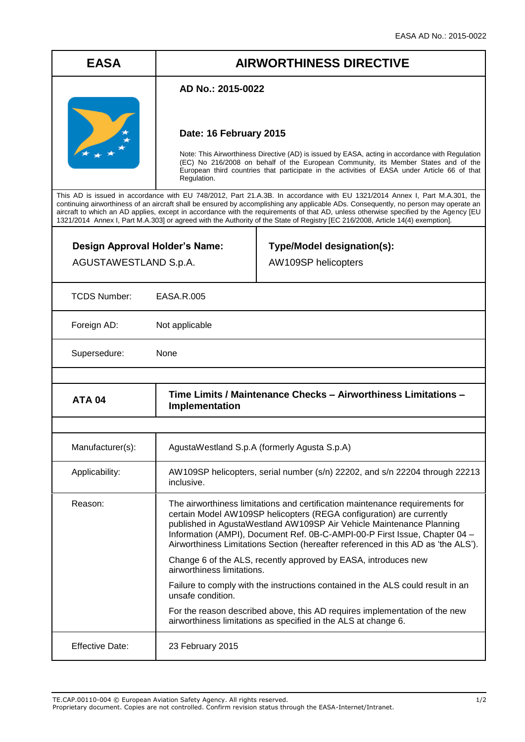## **EASA AIRWORTHINESS DIRECTIVE**

## **AD No.: 2015-0022**



## **Date: 16 February 2015**

Note: This Airworthiness Directive (AD) is issued by EASA, acting in accordance with Regulation (EC) No 216/2008 on behalf of the European Community, its Member States and of the European third countries that participate in the activities of EASA under Article 66 of that Regulation.

This AD is issued in accordance with EU 748/2012, Part 21.A.3B. In accordance with EU 1321/2014 Annex I, Part M.A.301, the continuing airworthiness of an aircraft shall be ensured by accomplishing any applicable ADs. Consequently, no person may operate an aircraft to which an AD applies, except in accordance with the requirements of that AD, unless otherwise specified by the Agency [EU 1321/2014 Annex I, Part M.A.303] or agreed with the Authority of the State of Registry [EC 216/2008, Article 14(4) exemption]. ┱

| Design Approval Holder's Name:<br>AGUSTAWESTLAND S.p.A. |                                                                                                                                                                                                                                                                                                                                                                                                 | Type/Model designation(s):<br>AW109SP helicopters                                                                                            |
|---------------------------------------------------------|-------------------------------------------------------------------------------------------------------------------------------------------------------------------------------------------------------------------------------------------------------------------------------------------------------------------------------------------------------------------------------------------------|----------------------------------------------------------------------------------------------------------------------------------------------|
| <b>TCDS Number:</b>                                     | <b>EASA.R.005</b>                                                                                                                                                                                                                                                                                                                                                                               |                                                                                                                                              |
| Foreign AD:                                             | Not applicable                                                                                                                                                                                                                                                                                                                                                                                  |                                                                                                                                              |
| None<br>Supersedure:                                    |                                                                                                                                                                                                                                                                                                                                                                                                 |                                                                                                                                              |
|                                                         |                                                                                                                                                                                                                                                                                                                                                                                                 |                                                                                                                                              |
| <b>ATA 04</b>                                           | Time Limits / Maintenance Checks - Airworthiness Limitations -<br>Implementation                                                                                                                                                                                                                                                                                                                |                                                                                                                                              |
|                                                         |                                                                                                                                                                                                                                                                                                                                                                                                 |                                                                                                                                              |
| Manufacturer(s):                                        | AgustaWestland S.p.A (formerly Agusta S.p.A)                                                                                                                                                                                                                                                                                                                                                    |                                                                                                                                              |
| Applicability:                                          | AW109SP helicopters, serial number (s/n) 22202, and s/n 22204 through 22213<br>inclusive.                                                                                                                                                                                                                                                                                                       |                                                                                                                                              |
| Reason:                                                 | The airworthiness limitations and certification maintenance requirements for<br>certain Model AW109SP helicopters (REGA configuration) are currently<br>published in AgustaWestland AW109SP Air Vehicle Maintenance Planning<br>Information (AMPI), Document Ref. 0B-C-AMPI-00-P First Issue, Chapter 04 -<br>Airworthiness Limitations Section (hereafter referenced in this AD as 'the ALS'). |                                                                                                                                              |
|                                                         | Change 6 of the ALS, recently approved by EASA, introduces new<br>airworthiness limitations.                                                                                                                                                                                                                                                                                                    |                                                                                                                                              |
|                                                         | unsafe condition.                                                                                                                                                                                                                                                                                                                                                                               | Failure to comply with the instructions contained in the ALS could result in an                                                              |
|                                                         |                                                                                                                                                                                                                                                                                                                                                                                                 | For the reason described above, this AD requires implementation of the new<br>airworthiness limitations as specified in the ALS at change 6. |
| <b>Effective Date:</b>                                  | 23 February 2015                                                                                                                                                                                                                                                                                                                                                                                |                                                                                                                                              |